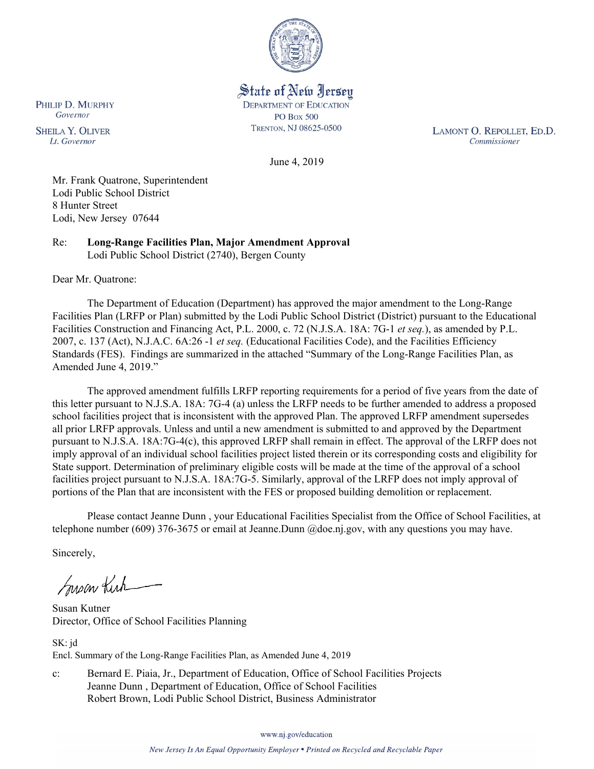

State of New Jersey **DEPARTMENT OF EDUCATION PO Box 500** TRENTON, NJ 08625-0500

LAMONT O. REPOLLET, ED.D. Commissioner

June 4, 2019

Mr. Frank Quatrone, Superintendent Lodi Public School District 8 Hunter Street Lodi, New Jersey 07644

Re: **Long-Range Facilities Plan, Major Amendment Approval** Lodi Public School District (2740), Bergen County

Dear Mr. Quatrone:

PHILIP D. MURPHY Governor

**SHEILA Y. OLIVER** 

Lt. Governor

The Department of Education (Department) has approved the major amendment to the Long-Range Facilities Plan (LRFP or Plan) submitted by the Lodi Public School District (District) pursuant to the Educational Facilities Construction and Financing Act, P.L. 2000, c. 72 (N.J.S.A. 18A: 7G-1 *et seq.*), as amended by P.L. 2007, c. 137 (Act), N.J.A.C. 6A:26 -1 *et seq.* (Educational Facilities Code), and the Facilities Efficiency Standards (FES). Findings are summarized in the attached "Summary of the Long-Range Facilities Plan, as Amended June 4, 2019."

The approved amendment fulfills LRFP reporting requirements for a period of five years from the date of this letter pursuant to N.J.S.A. 18A: 7G-4 (a) unless the LRFP needs to be further amended to address a proposed school facilities project that is inconsistent with the approved Plan. The approved LRFP amendment supersedes all prior LRFP approvals. Unless and until a new amendment is submitted to and approved by the Department pursuant to N.J.S.A. 18A:7G-4(c), this approved LRFP shall remain in effect. The approval of the LRFP does not imply approval of an individual school facilities project listed therein or its corresponding costs and eligibility for State support. Determination of preliminary eligible costs will be made at the time of the approval of a school facilities project pursuant to N.J.S.A. 18A:7G-5. Similarly, approval of the LRFP does not imply approval of portions of the Plan that are inconsistent with the FES or proposed building demolition or replacement.

Please contact Jeanne Dunn , your Educational Facilities Specialist from the Office of School Facilities, at telephone number (609) 376-3675 or email at Jeanne.Dunn @doe.nj.gov, with any questions you may have.

Sincerely,

Susan Kich

Susan Kutner Director, Office of School Facilities Planning

SK: jd Encl. Summary of the Long-Range Facilities Plan, as Amended June 4, 2019

c: Bernard E. Piaia, Jr., Department of Education, Office of School Facilities Projects Jeanne Dunn , Department of Education, Office of School Facilities Robert Brown, Lodi Public School District, Business Administrator

www.nj.gov/education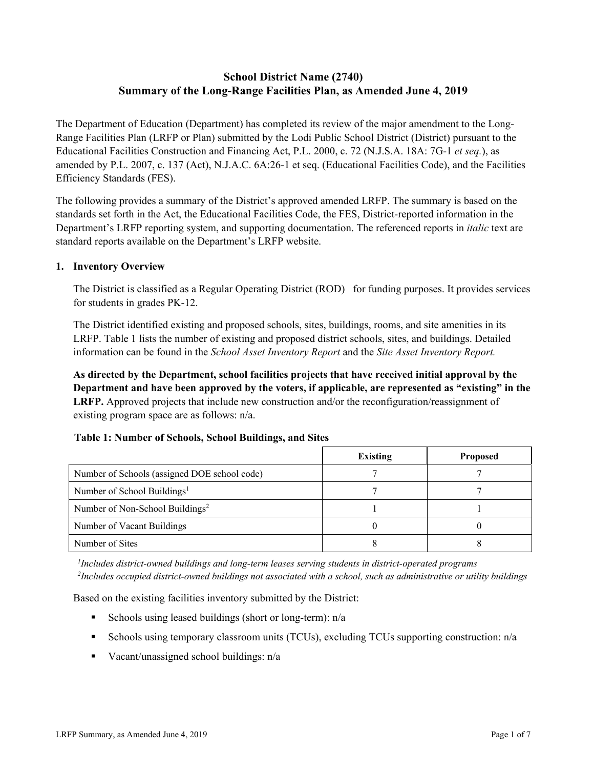# **School District Name (2740) Summary of the Long-Range Facilities Plan, as Amended June 4, 2019**

The Department of Education (Department) has completed its review of the major amendment to the Long-Range Facilities Plan (LRFP or Plan) submitted by the Lodi Public School District (District) pursuant to the Educational Facilities Construction and Financing Act, P.L. 2000, c. 72 (N.J.S.A. 18A: 7G-1 *et seq.*), as amended by P.L. 2007, c. 137 (Act), N.J.A.C. 6A:26-1 et seq. (Educational Facilities Code), and the Facilities Efficiency Standards (FES).

The following provides a summary of the District's approved amended LRFP. The summary is based on the standards set forth in the Act, the Educational Facilities Code, the FES, District-reported information in the Department's LRFP reporting system, and supporting documentation. The referenced reports in *italic* text are standard reports available on the Department's LRFP website.

### **1. Inventory Overview**

The District is classified as a Regular Operating District (ROD) for funding purposes. It provides services for students in grades PK-12.

The District identified existing and proposed schools, sites, buildings, rooms, and site amenities in its LRFP. Table 1 lists the number of existing and proposed district schools, sites, and buildings. Detailed information can be found in the *School Asset Inventory Report* and the *Site Asset Inventory Report.*

**As directed by the Department, school facilities projects that have received initial approval by the Department and have been approved by the voters, if applicable, are represented as "existing" in the LRFP.** Approved projects that include new construction and/or the reconfiguration/reassignment of existing program space are as follows: n/a.

# **Table 1: Number of Schools, School Buildings, and Sites**

|                                              | <b>Existing</b> | <b>Proposed</b> |
|----------------------------------------------|-----------------|-----------------|
| Number of Schools (assigned DOE school code) |                 |                 |
| Number of School Buildings <sup>1</sup>      |                 |                 |
| Number of Non-School Buildings <sup>2</sup>  |                 |                 |
| Number of Vacant Buildings                   |                 |                 |
| Number of Sites                              |                 |                 |

*1 Includes district-owned buildings and long-term leases serving students in district-operated programs 2 Includes occupied district-owned buildings not associated with a school, such as administrative or utility buildings*

Based on the existing facilities inventory submitted by the District:

- Schools using leased buildings (short or long-term):  $n/a$
- Schools using temporary classroom units (TCUs), excluding TCUs supporting construction: n/a
- Vacant/unassigned school buildings:  $n/a$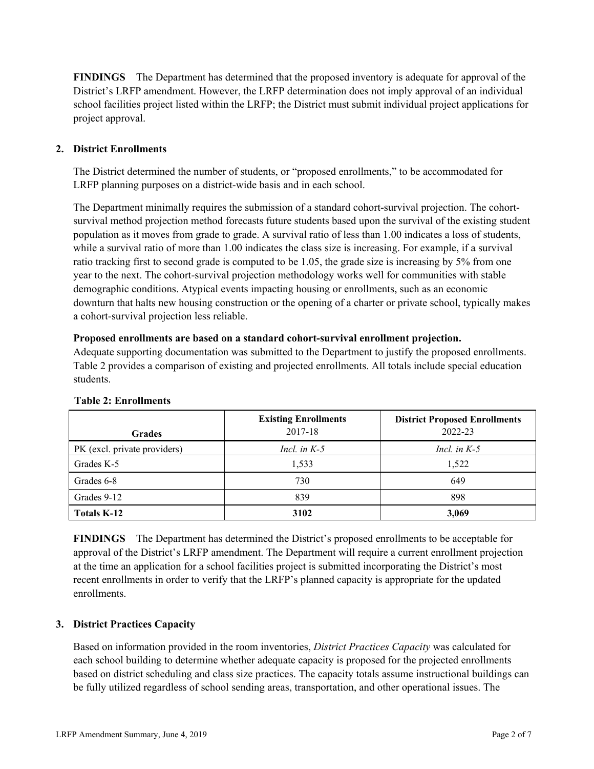**FINDINGS** The Department has determined that the proposed inventory is adequate for approval of the District's LRFP amendment. However, the LRFP determination does not imply approval of an individual school facilities project listed within the LRFP; the District must submit individual project applications for project approval.

# **2. District Enrollments**

The District determined the number of students, or "proposed enrollments," to be accommodated for LRFP planning purposes on a district-wide basis and in each school.

The Department minimally requires the submission of a standard cohort-survival projection. The cohortsurvival method projection method forecasts future students based upon the survival of the existing student population as it moves from grade to grade. A survival ratio of less than 1.00 indicates a loss of students, while a survival ratio of more than 1.00 indicates the class size is increasing. For example, if a survival ratio tracking first to second grade is computed to be 1.05, the grade size is increasing by 5% from one year to the next. The cohort-survival projection methodology works well for communities with stable demographic conditions. Atypical events impacting housing or enrollments, such as an economic downturn that halts new housing construction or the opening of a charter or private school, typically makes a cohort-survival projection less reliable.

#### **Proposed enrollments are based on a standard cohort-survival enrollment projection.**

Adequate supporting documentation was submitted to the Department to justify the proposed enrollments. Table 2 provides a comparison of existing and projected enrollments. All totals include special education students.

| <b>Grades</b>                | <b>Existing Enrollments</b><br>2017-18 | <b>District Proposed Enrollments</b><br>2022-23 |
|------------------------------|----------------------------------------|-------------------------------------------------|
| PK (excl. private providers) | Incl. in $K-5$                         | Incl. in $K-5$                                  |
| Grades K-5                   | 1,533                                  | 1,522                                           |
| Grades 6-8                   | 730                                    | 649                                             |
| Grades 9-12                  | 839                                    | 898                                             |
| Totals K-12                  | 3102                                   | 3,069                                           |

#### **Table 2: Enrollments**

**FINDINGS** The Department has determined the District's proposed enrollments to be acceptable for approval of the District's LRFP amendment. The Department will require a current enrollment projection at the time an application for a school facilities project is submitted incorporating the District's most recent enrollments in order to verify that the LRFP's planned capacity is appropriate for the updated enrollments.

# **3. District Practices Capacity**

Based on information provided in the room inventories, *District Practices Capacity* was calculated for each school building to determine whether adequate capacity is proposed for the projected enrollments based on district scheduling and class size practices. The capacity totals assume instructional buildings can be fully utilized regardless of school sending areas, transportation, and other operational issues. The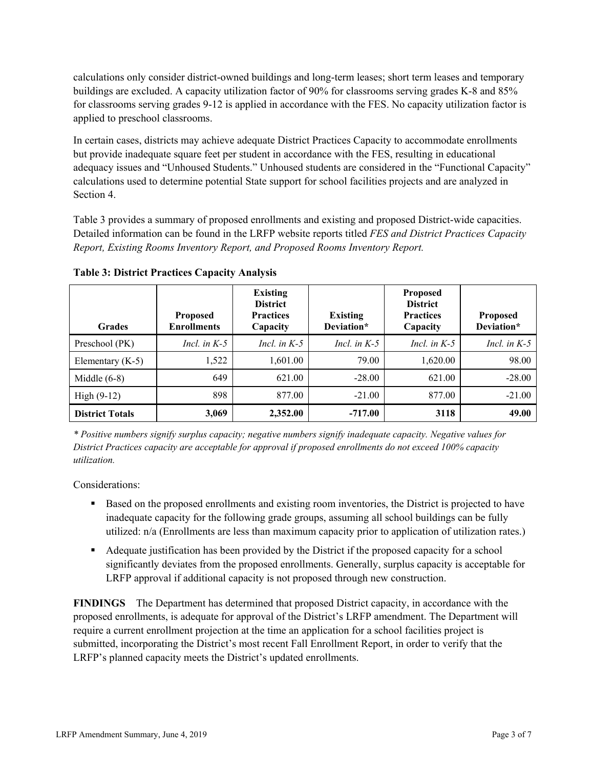calculations only consider district-owned buildings and long-term leases; short term leases and temporary buildings are excluded. A capacity utilization factor of 90% for classrooms serving grades K-8 and 85% for classrooms serving grades 9-12 is applied in accordance with the FES. No capacity utilization factor is applied to preschool classrooms.

In certain cases, districts may achieve adequate District Practices Capacity to accommodate enrollments but provide inadequate square feet per student in accordance with the FES, resulting in educational adequacy issues and "Unhoused Students." Unhoused students are considered in the "Functional Capacity" calculations used to determine potential State support for school facilities projects and are analyzed in Section 4.

Table 3 provides a summary of proposed enrollments and existing and proposed District-wide capacities. Detailed information can be found in the LRFP website reports titled *FES and District Practices Capacity Report, Existing Rooms Inventory Report, and Proposed Rooms Inventory Report.*

| <b>Grades</b>          | <b>Proposed</b><br><b>Enrollments</b> | <b>Existing</b><br><b>District</b><br><b>Practices</b><br>Capacity | <b>Existing</b><br>Deviation* | <b>Proposed</b><br><b>District</b><br><b>Practices</b><br>Capacity | <b>Proposed</b><br>Deviation* |
|------------------------|---------------------------------------|--------------------------------------------------------------------|-------------------------------|--------------------------------------------------------------------|-------------------------------|
| Preschool (PK)         | Incl. in $K-5$                        | Incl. in $K-5$                                                     | Incl. in $K-5$                | Incl. in $K-5$                                                     | Incl. in $K-5$                |
| Elementary $(K-5)$     | 1,522                                 | 1,601.00                                                           | 79.00                         | 1,620.00                                                           | 98.00                         |
| Middle $(6-8)$         | 649                                   | 621.00                                                             | $-28.00$                      | 621.00                                                             | $-28.00$                      |
| High $(9-12)$          | 898                                   | 877.00                                                             | $-21.00$                      | 877.00                                                             | $-21.00$                      |
| <b>District Totals</b> | 3,069                                 | 2,352.00                                                           | $-717.00$                     | 3118                                                               | 49.00                         |

**Table 3: District Practices Capacity Analysis**

*\* Positive numbers signify surplus capacity; negative numbers signify inadequate capacity. Negative values for District Practices capacity are acceptable for approval if proposed enrollments do not exceed 100% capacity utilization.*

Considerations:

- Based on the proposed enrollments and existing room inventories, the District is projected to have inadequate capacity for the following grade groups, assuming all school buildings can be fully utilized: n/a (Enrollments are less than maximum capacity prior to application of utilization rates.)
- Adequate justification has been provided by the District if the proposed capacity for a school significantly deviates from the proposed enrollments. Generally, surplus capacity is acceptable for LRFP approval if additional capacity is not proposed through new construction.

**FINDINGS**The Department has determined that proposed District capacity, in accordance with the proposed enrollments, is adequate for approval of the District's LRFP amendment. The Department will require a current enrollment projection at the time an application for a school facilities project is submitted, incorporating the District's most recent Fall Enrollment Report, in order to verify that the LRFP's planned capacity meets the District's updated enrollments.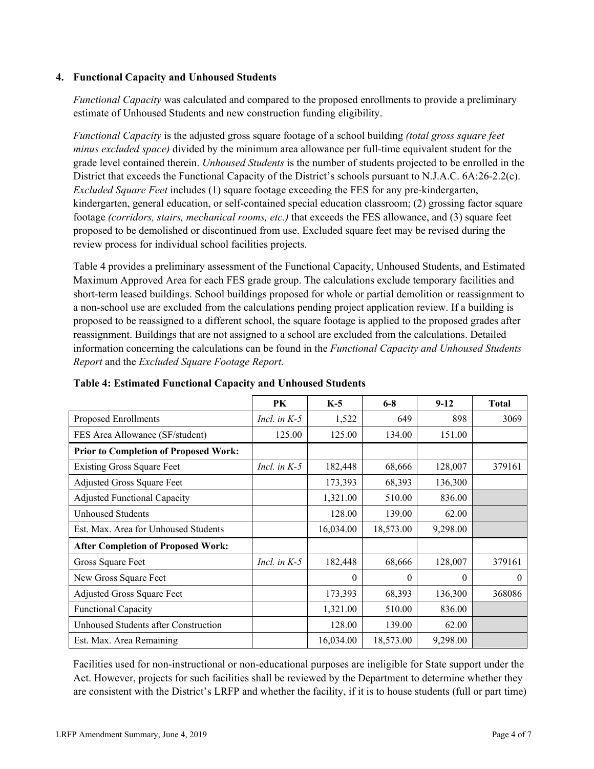### **4. Functional Capacity and Unhoused Students**

*Functional Capacity* was calculated and compared to the proposed enrollments to provide a preliminary estimate of Unhoused Students and new construction funding eligibility.

*Functional Capacity* is the adjusted gross square footage of a school building *(total gross square feet minus excluded space)* divided by the minimum area allowance per full-time equivalent student for the grade level contained therein. *Unhoused Students* is the number of students projected to be enrolled in the District that exceeds the Functional Capacity of the District's schools pursuant to N.J.A.C. 6A:26-2.2(c). *Excluded Square Feet* includes (1) square footage exceeding the FES for any pre-kindergarten, kindergarten, general education, or self-contained special education classroom; (2) grossing factor square footage *(corridors, stairs, mechanical rooms, etc.)* that exceeds the FES allowance, and (3) square feet proposed to be demolished or discontinued from use. Excluded square feet may be revised during the review process for individual school facilities projects.

Table 4 provides a preliminary assessment of the Functional Capacity, Unhoused Students, and Estimated Maximum Approved Area for each FES grade group. The calculations exclude temporary facilities and short-term leased buildings. School buildings proposed for whole or partial demolition or reassignment to a non-school use are excluded from the calculations pending project application review. If a building is proposed to be reassigned to a different school, the square footage is applied to the proposed grades after reassignment. Buildings that are not assigned to a school are excluded from the calculations. Detailed information concerning the calculations can be found in the *Functional Capacity and Unhoused Students Report* and the *Excluded Square Footage Report.*

|                                              | <b>PK</b>      | $K-5$     | $6 - 8$   | $9-12$   | <b>Total</b> |
|----------------------------------------------|----------------|-----------|-----------|----------|--------------|
| Proposed Enrollments                         | Incl. in $K-5$ | 1,522     | 649       | 898      | 3069         |
| FES Area Allowance (SF/student)              | 125.00         | 125.00    | 134.00    | 151.00   |              |
| <b>Prior to Completion of Proposed Work:</b> |                |           |           |          |              |
| <b>Existing Gross Square Feet</b>            | Incl. in $K-5$ | 182,448   | 68,666    | 128,007  | 379161       |
| Adjusted Gross Square Feet                   |                | 173,393   | 68,393    | 136,300  |              |
| <b>Adjusted Functional Capacity</b>          |                | 1,321.00  | 510.00    | 836.00   |              |
| <b>Unhoused Students</b>                     |                | 128.00    | 139.00    | 62.00    |              |
| Est. Max. Area for Unhoused Students         |                | 16,034.00 | 18,573.00 | 9,298.00 |              |
| <b>After Completion of Proposed Work:</b>    |                |           |           |          |              |
| Gross Square Feet                            | Incl. in $K-5$ | 182,448   | 68,666    | 128,007  | 379161       |
| New Gross Square Feet                        |                | $\theta$  | $\Omega$  | $\Omega$ | $\theta$     |
| Adjusted Gross Square Feet                   |                | 173,393   | 68,393    | 136,300  | 368086       |
| <b>Functional Capacity</b>                   |                | 1,321.00  | 510.00    | 836.00   |              |
| Unhoused Students after Construction         |                | 128.00    | 139.00    | 62.00    |              |
| Est. Max. Area Remaining                     |                | 16,034.00 | 18,573.00 | 9,298.00 |              |

**Table 4: Estimated Functional Capacity and Unhoused Students** 

Facilities used for non-instructional or non-educational purposes are ineligible for State support under the Act. However, projects for such facilities shall be reviewed by the Department to determine whether they are consistent with the District's LRFP and whether the facility, if it is to house students (full or part time)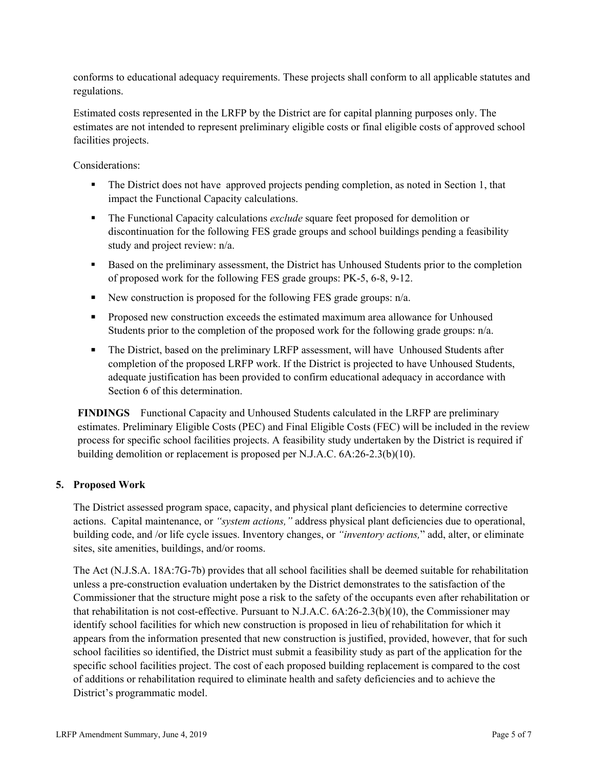conforms to educational adequacy requirements. These projects shall conform to all applicable statutes and regulations.

Estimated costs represented in the LRFP by the District are for capital planning purposes only. The estimates are not intended to represent preliminary eligible costs or final eligible costs of approved school facilities projects.

Considerations:

- The District does not have approved projects pending completion, as noted in Section 1, that impact the Functional Capacity calculations.
- **The Functional Capacity calculations** *exclude* square feet proposed for demolition or discontinuation for the following FES grade groups and school buildings pending a feasibility study and project review: n/a.
- Based on the preliminary assessment, the District has Unhoused Students prior to the completion of proposed work for the following FES grade groups: PK-5, 6-8, 9-12.
- New construction is proposed for the following FES grade groups:  $n/a$ .
- **Proposed new construction exceeds the estimated maximum area allowance for Unhoused** Students prior to the completion of the proposed work for the following grade groups: n/a.
- The District, based on the preliminary LRFP assessment, will have Unhoused Students after completion of the proposed LRFP work. If the District is projected to have Unhoused Students, adequate justification has been provided to confirm educational adequacy in accordance with Section 6 of this determination.

**FINDINGS** Functional Capacity and Unhoused Students calculated in the LRFP are preliminary estimates. Preliminary Eligible Costs (PEC) and Final Eligible Costs (FEC) will be included in the review process for specific school facilities projects. A feasibility study undertaken by the District is required if building demolition or replacement is proposed per N.J.A.C. 6A:26-2.3(b)(10).

# **5. Proposed Work**

The District assessed program space, capacity, and physical plant deficiencies to determine corrective actions. Capital maintenance, or *"system actions,"* address physical plant deficiencies due to operational, building code, and /or life cycle issues. Inventory changes, or *"inventory actions,*" add, alter, or eliminate sites, site amenities, buildings, and/or rooms.

The Act (N.J.S.A. 18A:7G-7b) provides that all school facilities shall be deemed suitable for rehabilitation unless a pre-construction evaluation undertaken by the District demonstrates to the satisfaction of the Commissioner that the structure might pose a risk to the safety of the occupants even after rehabilitation or that rehabilitation is not cost-effective. Pursuant to N.J.A.C. 6A:26-2.3(b)(10), the Commissioner may identify school facilities for which new construction is proposed in lieu of rehabilitation for which it appears from the information presented that new construction is justified, provided, however, that for such school facilities so identified, the District must submit a feasibility study as part of the application for the specific school facilities project. The cost of each proposed building replacement is compared to the cost of additions or rehabilitation required to eliminate health and safety deficiencies and to achieve the District's programmatic model.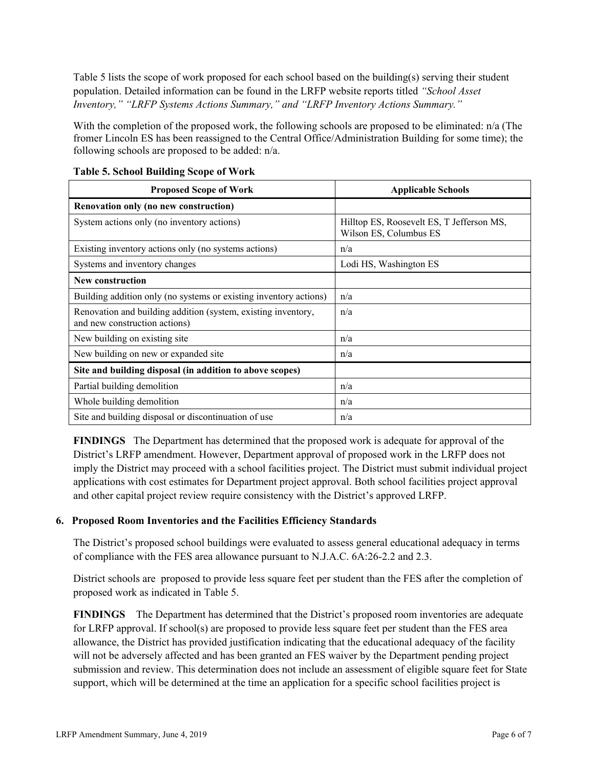Table 5 lists the scope of work proposed for each school based on the building(s) serving their student population. Detailed information can be found in the LRFP website reports titled *"School Asset Inventory," "LRFP Systems Actions Summary," and "LRFP Inventory Actions Summary."*

With the completion of the proposed work, the following schools are proposed to be eliminated: n/a (The fromer Lincoln ES has been reassigned to the Central Office/Administration Building for some time); the following schools are proposed to be added: n/a.

| <b>Proposed Scope of Work</b>                                                                  | <b>Applicable Schools</b>                                           |
|------------------------------------------------------------------------------------------------|---------------------------------------------------------------------|
| Renovation only (no new construction)                                                          |                                                                     |
| System actions only (no inventory actions)                                                     | Hilltop ES, Roosevelt ES, T Jefferson MS,<br>Wilson ES, Columbus ES |
| Existing inventory actions only (no systems actions)                                           | n/a                                                                 |
| Systems and inventory changes                                                                  | Lodi HS, Washington ES                                              |
| <b>New construction</b>                                                                        |                                                                     |
| Building addition only (no systems or existing inventory actions)                              | n/a                                                                 |
| Renovation and building addition (system, existing inventory,<br>and new construction actions) | n/a                                                                 |
| New building on existing site                                                                  | n/a                                                                 |
| New building on new or expanded site                                                           | n/a                                                                 |
| Site and building disposal (in addition to above scopes)                                       |                                                                     |
| Partial building demolition                                                                    | n/a                                                                 |
| Whole building demolition                                                                      | n/a                                                                 |
| Site and building disposal or discontinuation of use                                           | n/a                                                                 |

|  | <b>Table 5. School Building Scope of Work</b> |  |
|--|-----------------------------------------------|--|

**FINDINGS** The Department has determined that the proposed work is adequate for approval of the District's LRFP amendment. However, Department approval of proposed work in the LRFP does not imply the District may proceed with a school facilities project. The District must submit individual project applications with cost estimates for Department project approval. Both school facilities project approval and other capital project review require consistency with the District's approved LRFP.

### **6. Proposed Room Inventories and the Facilities Efficiency Standards**

The District's proposed school buildings were evaluated to assess general educational adequacy in terms of compliance with the FES area allowance pursuant to N.J.A.C. 6A:26-2.2 and 2.3.

District schools are proposed to provide less square feet per student than the FES after the completion of proposed work as indicated in Table 5.

**FINDINGS** The Department has determined that the District's proposed room inventories are adequate for LRFP approval. If school(s) are proposed to provide less square feet per student than the FES area allowance, the District has provided justification indicating that the educational adequacy of the facility will not be adversely affected and has been granted an FES waiver by the Department pending project submission and review. This determination does not include an assessment of eligible square feet for State support, which will be determined at the time an application for a specific school facilities project is